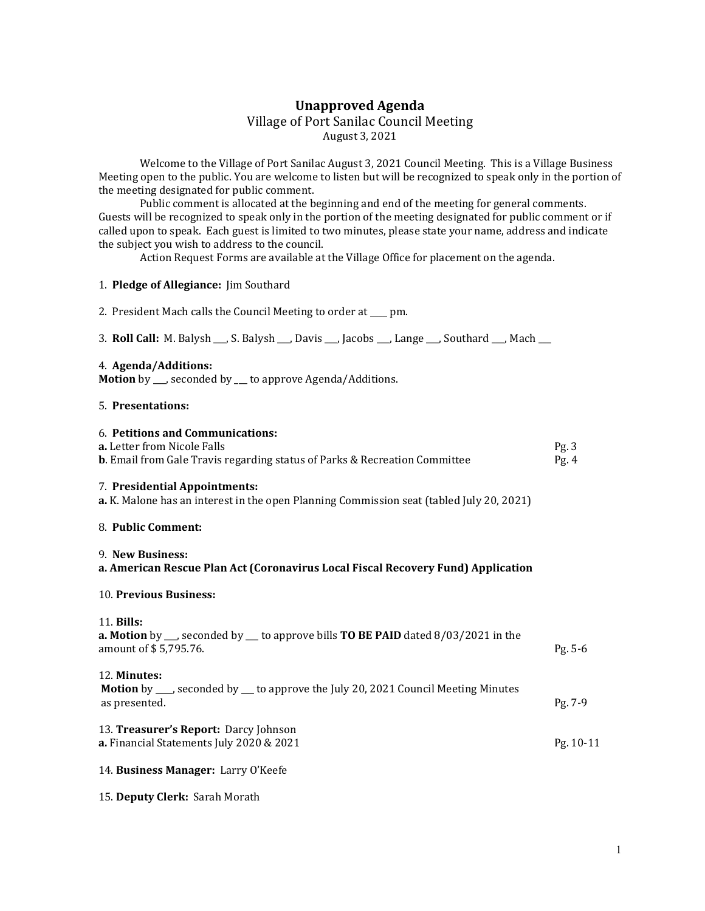# Unapproved Agenda Village of Port Sanilac Council Meeting August 3, 2021

 Welcome to the Village of Port Sanilac August 3, 2021 Council Meeting. This is a Village Business Meeting open to the public. You are welcome to listen but will be recognized to speak only in the portion of the meeting designated for public comment.

 Public comment is allocated at the beginning and end of the meeting for general comments. Guests will be recognized to speak only in the portion of the meeting designated for public comment or if called upon to speak. Each guest is limited to two minutes, please state your name, address and indicate the subject you wish to address to the council.

Action Request Forms are available at the Village Office for placement on the agenda.

## 1. Pledge of Allegiance: Jim Southard

|  | 2. President Mach calls the Council Meeting to order at ___ pm. |  |  |  |  |  |
|--|-----------------------------------------------------------------|--|--|--|--|--|
|--|-----------------------------------------------------------------|--|--|--|--|--|

3. Roll Call: M. Balysh \_\_\_, S. Balysh \_\_\_, Davis \_\_\_, Jacobs \_\_\_, Lange \_\_\_, Southard \_\_\_, Mach \_\_\_

#### 4. Agenda/Additions:

Motion by \_\_\_, seconded by \_\_\_ to approve Agenda/Additions.

### 5. Presentations:

# 6. Petitions and Communications:

| <b>a.</b> Letter from Nicole Falls                                                              | $P_{\mathfrak{L}}$ , 3 |
|-------------------------------------------------------------------------------------------------|------------------------|
| <b>b.</b> Email from Gale Travis regarding status of Parks & Recreation Committee               |                        |
|                                                                                                 |                        |
| 7. Presidential Appointments:                                                                   |                        |
| <b>a.</b> K. Malone has an interest in the open Planning Commission seat (tabled July 20, 2021) |                        |

### 8. Public Comment:

#### 9. New Business:

## a. American Rescue Plan Act (Coronavirus Local Fiscal Recovery Fund) Application

### 10. Previous Business:

#### 11. Bills:

| <b>a. Motion</b> by $\_\_$ , seconded by $\_\_$ to approve bills <b>TO BE PAID</b> dated 8/03/2021 in the<br>amount of \$5,795.76. | $Pg. 5-6$ |
|------------------------------------------------------------------------------------------------------------------------------------|-----------|
| 12. Minutes:<br><b>Motion</b> by ___, seconded by ___ to approve the July 20, 2021 Council Meeting Minutes<br>as presented.        | $Pg. 7-9$ |
| 13. <b>Treasurer's Report:</b> Darcy Johnson<br><b>a.</b> Financial Statements July 2020 & 2021                                    | Pg. 10-11 |

# 14. Business Manager: Larry O'Keefe

# 15. Deputy Clerk: Sarah Morath